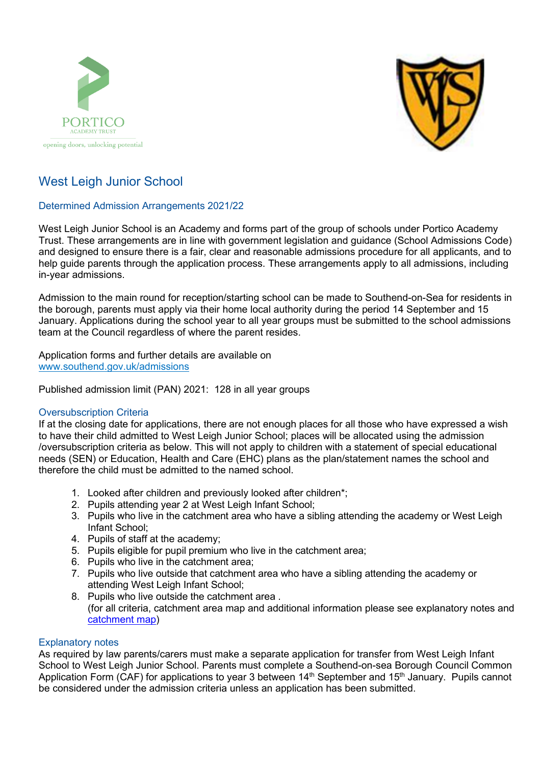



# West Leigh Junior School

# Determined Admission Arrangements 2021/22

West Leigh Junior School is an Academy and forms part of the group of schools under Portico Academy Trust. These arrangements are in line with government legislation and guidance (School Admissions Code) and designed to ensure there is a fair, clear and reasonable admissions procedure for all applicants, and to help guide parents through the application process. These arrangements apply to all admissions, including in-year admissions.

Admission to the main round for reception/starting school can be made to Southend-on-Sea for residents in the borough, parents must apply via their home local authority during the period 14 September and 15 January. Applications during the school year to all year groups must be submitted to the school admissions team at the Council regardless of where the parent resides.

Application forms and further details are available on [www.southend.gov.uk/admissions](http://www.southend.gov.uk/admissions) 

Published admission limit (PAN) 2021: 128 in all year groups

# Oversubscription Criteria

If at the closing date for applications, there are not enough places for all those who have expressed a wish to have their child admitted to West Leigh Junior School; places will be allocated using the admission /oversubscription criteria as below. This will not apply to children with a statement of special educational needs (SEN) or Education, Health and Care (EHC) plans as the plan/statement names the school and therefore the child must be admitted to the named school.

- 1. Looked after children and previously looked after children\*;
- 2. Pupils attending year 2 at West Leigh Infant School;
- 3. Pupils who live in the catchment area who have a sibling attending the academy or West Leigh Infant School;
- 4. Pupils of staff at the academy;
- 5. Pupils eligible for pupil premium who live in the catchment area;
- 6. Pupils who live in the catchment area;
- 7. Pupils who live outside that catchment area who have a sibling attending the academy or attending West Leigh Infant School;
- 8. Pupils who live outside the catchment area . (for all criteria, catchment area map and additional information please see explanatory notes and [catchment map\)](https://school-catchment-areas-southend.hub.arcgis.com/)

# Explanatory notes

As required by law parents/carers must make a separate application for transfer from West Leigh Infant School to West Leigh Junior School. Parents must complete a Southend-on-sea Borough Council Common Application Form (CAF) for applications to year 3 between  $14<sup>th</sup>$  September and  $15<sup>th</sup>$  January. Pupils cannot be considered under the admission criteria unless an application has been submitted.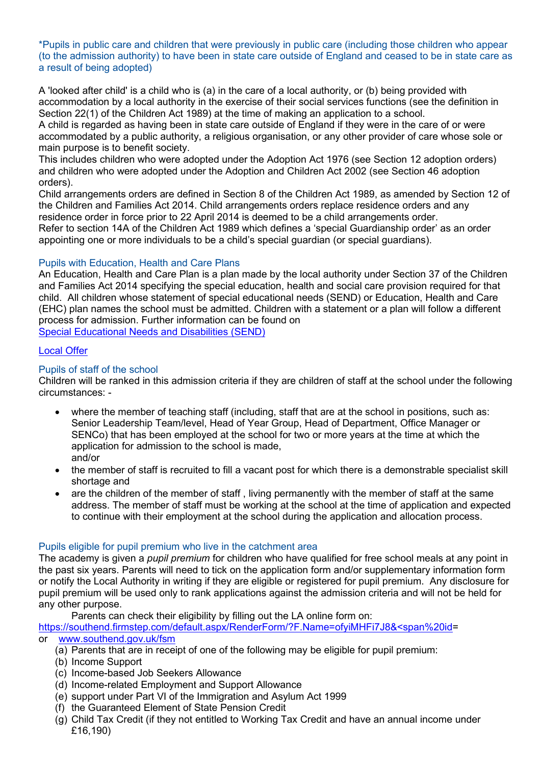\*Pupils in public care and children that were previously in public care (including those children who appear (to the admission authority) to have been in state care outside of England and ceased to be in state care as a result of being adopted)

A 'looked after child' is a child who is (a) in the care of a local authority, or (b) being provided with accommodation by a local authority in the exercise of their social services functions (see the definition in Section 22(1) of the Children Act 1989) at the time of making an application to a school.

A child is regarded as having been in state care outside of England if they were in the care of or were accommodated by a public authority, a religious organisation, or any other provider of care whose sole or main purpose is to benefit society.

This includes children who were adopted under the Adoption Act 1976 (see Section 12 adoption orders) and children who were adopted under the Adoption and Children Act 2002 (see Section 46 adoption orders).

Child arrangements orders are defined in Section 8 of the Children Act 1989, as amended by Section 12 of the Children and Families Act 2014. Child arrangements orders replace residence orders and any residence order in force prior to 22 April 2014 is deemed to be a child arrangements order. Refer to section 14A of the Children Act 1989 which defines a 'special Guardianship order' as an order appointing one or more individuals to be a child's special guardian (or special guardians).

# Pupils with Education, Health and Care Plans

An Education, Health and Care Plan is a plan made by the local authority under Section 37 of the Children and Families Act 2014 specifying the special education, health and social care provision required for that child. All children whose statement of special educational needs (SEND) or Education, Health and Care (EHC) plan names the school must be admitted. Children with a statement or a plan will follow a different process for admission. Further information can be found on [Special Educational Needs and Disabilities \(SEND\)](https://www.southend.gov.uk/children-disabilities/special-educational-needs)

# [Local Offer](https://livewellsouthend.com/kb5/southendonsea/directory/localoffer.page?localofferchannel=0)

# Pupils of staff of the school

Children will be ranked in this admission criteria if they are children of staff at the school under the following circumstances: -

- where the member of teaching staff (including, staff that are at the school in positions, such as: Senior Leadership Team/level, Head of Year Group, Head of Department, Office Manager or SENCo) that has been employed at the school for two or more years at the time at which the application for admission to the school is made, and/or
- the member of staff is recruited to fill a vacant post for which there is a demonstrable specialist skill shortage and
- are the children of the member of staff , living permanently with the member of staff at the same address. The member of staff must be working at the school at the time of application and expected to continue with their employment at the school during the application and allocation process.

# Pupils eligible for pupil premium who live in the catchment area

The academy is given a *pupil premium* for children who have qualified for free school meals at any point in the past six years. Parents will need to tick on the application form and/or supplementary information form or notify the Local Authority in writing if they are eligible or registered for pupil premium. Any disclosure for pupil premium will be used only to rank applications against the admission criteria and will not be held for any other purpose.

Parents can check their eligibility by filling out the LA online form on:

[https://southend.firmstep.com/default.aspx/RenderForm/?F.Name=ofyiMHFi7J8&<span%20id=](https://southend.firmstep.com/default.aspx/RenderForm/?F.Name=ofyiMHFi7J8&%3cspan%20id) or [www.southend.gov.uk/fsm](http://www.southend.gov.uk/fsm) 

- (a) Parents that are in receipt of one of the following may be eligible for pupil premium:
- (b) Income Support
- (c) Income-based Job Seekers Allowance
- (d) Income-related Employment and Support Allowance
- (e) support under Part VI of the Immigration and Asylum Act 1999
- (f) the Guaranteed Element of State Pension Credit
- (g) Child Tax Credit (if they not entitled to Working Tax Credit and have an annual income under £16,190)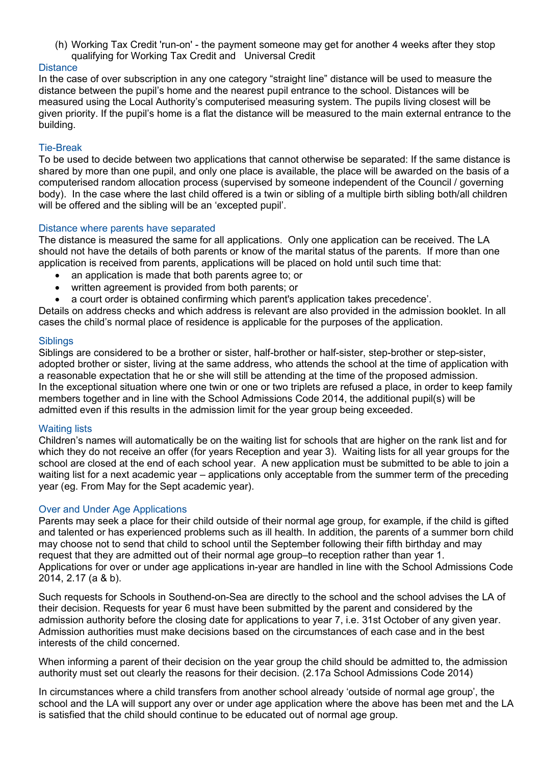(h) Working Tax Credit 'run-on' - the payment someone may get for another 4 weeks after they stop qualifying for Working Tax Credit and Universal Credit

# **Distance**

In the case of over subscription in any one category "straight line" distance will be used to measure the distance between the pupil's home and the nearest pupil entrance to the school. Distances will be measured using the Local Authority's computerised measuring system. The pupils living closest will be given priority. If the pupil's home is a flat the distance will be measured to the main external entrance to the building.

#### Tie-Break

To be used to decide between two applications that cannot otherwise be separated: If the same distance is shared by more than one pupil, and only one place is available, the place will be awarded on the basis of a computerised random allocation process (supervised by someone independent of the Council / governing body). In the case where the last child offered is a twin or sibling of a multiple birth sibling both/all children will be offered and the sibling will be an 'excepted pupil'.

#### Distance where parents have separated

The distance is measured the same for all applications. Only one application can be received. The LA should not have the details of both parents or know of the marital status of the parents. If more than one application is received from parents, applications will be placed on hold until such time that:

- an application is made that both parents agree to; or
- written agreement is provided from both parents; or
- a court order is obtained confirming which parent's application takes precedence'.

Details on address checks and which address is relevant are also provided in the admission booklet. In all cases the child's normal place of residence is applicable for the purposes of the application.

#### **Siblings**

Siblings are considered to be a brother or sister, half-brother or half-sister, step-brother or step-sister, adopted brother or sister, living at the same address, who attends the school at the time of application with a reasonable expectation that he or she will still be attending at the time of the proposed admission. In the exceptional situation where one twin or one or two triplets are refused a place, in order to keep family members together and in line with the School Admissions Code 2014, the additional pupil(s) will be admitted even if this results in the admission limit for the year group being exceeded.

# Waiting lists

Children's names will automatically be on the waiting list for schools that are higher on the rank list and for which they do not receive an offer (for years Reception and year 3). Waiting lists for all year groups for the school are closed at the end of each school year. A new application must be submitted to be able to join a waiting list for a next academic year – applications only acceptable from the summer term of the preceding year (eg. From May for the Sept academic year).

#### Over and Under Age Applications

Parents may seek a place for their child outside of their normal age group, for example, if the child is gifted and talented or has experienced problems such as ill health. In addition, the parents of a summer born child may choose not to send that child to school until the September following their fifth birthday and may request that they are admitted out of their normal age group–to reception rather than year 1. Applications for over or under age applications in-year are handled in line with the School Admissions Code 2014, 2.17 (a & b).

Such requests for Schools in Southend-on-Sea are directly to the school and the school advises the LA of their decision. Requests for year 6 must have been submitted by the parent and considered by the admission authority before the closing date for applications to year 7, i.e. 31st October of any given year. Admission authorities must make decisions based on the circumstances of each case and in the best interests of the child concerned.

When informing a parent of their decision on the year group the child should be admitted to, the admission authority must set out clearly the reasons for their decision. (2.17a School Admissions Code 2014)

In circumstances where a child transfers from another school already 'outside of normal age group', the school and the LA will support any over or under age application where the above has been met and the LA is satisfied that the child should continue to be educated out of normal age group.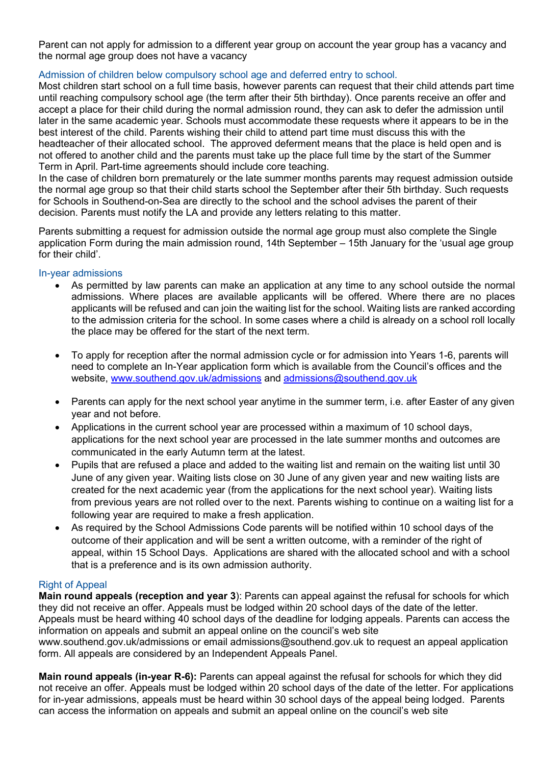Parent can not apply for admission to a different year group on account the year group has a vacancy and the normal age group does not have a vacancy

# Admission of children below compulsory school age and deferred entry to school.

Most children start school on a full time basis, however parents can request that their child attends part time until reaching compulsory school age (the term after their 5th birthday). Once parents receive an offer and accept a place for their child during the normal admission round, they can ask to defer the admission until later in the same academic year. Schools must accommodate these requests where it appears to be in the best interest of the child. Parents wishing their child to attend part time must discuss this with the headteacher of their allocated school. The approved deferment means that the place is held open and is not offered to another child and the parents must take up the place full time by the start of the Summer Term in April. Part-time agreements should include core teaching.

In the case of children born prematurely or the late summer months parents may request admission outside the normal age group so that their child starts school the September after their 5th birthday. Such requests for Schools in Southend-on-Sea are directly to the school and the school advises the parent of their decision. Parents must notify the LA and provide any letters relating to this matter.

Parents submitting a request for admission outside the normal age group must also complete the Single application Form during the main admission round, 14th September – 15th January for the 'usual age group for their child'.

# In-year admissions

- As permitted by law parents can make an application at any time to any school outside the normal admissions. Where places are available applicants will be offered. Where there are no places applicants will be refused and can join the waiting list for the school. Waiting lists are ranked according to the admission criteria for the school. In some cases where a child is already on a school roll locally the place may be offered for the start of the next term.
- To apply for reception after the normal admission cycle or for admission into Years 1-6, parents will need to complete an In-Year application form which is available from the Council's offices and the website, [www.southend.gov.uk/admissions](http://www.southend.gov.uk/admissions) and [admissions@southend.gov.uk](mailto:admissions@southend.gov.uk)
- Parents can apply for the next school year anytime in the summer term, i.e. after Easter of any given year and not before.
- Applications in the current school year are processed within a maximum of 10 school days, applications for the next school year are processed in the late summer months and outcomes are communicated in the early Autumn term at the latest.
- Pupils that are refused a place and added to the waiting list and remain on the waiting list until 30 June of any given year. Waiting lists close on 30 June of any given year and new waiting lists are created for the next academic year (from the applications for the next school year). Waiting lists from previous years are not rolled over to the next. Parents wishing to continue on a waiting list for a following year are required to make a fresh application.
- As required by the School Admissions Code parents will be notified within 10 school days of the outcome of their application and will be sent a written outcome, with a reminder of the right of appeal, within 15 School Days. Applications are shared with the allocated school and with a school that is a preference and is its own admission authority.

# Right of Appeal

**Main round appeals (reception and year 3**): Parents can appeal against the refusal for schools for which they did not receive an offer. Appeals must be lodged within 20 school days of the date of the letter. Appeals must be heard withing 40 school days of the deadline for lodging appeals. Parents can access the information on appeals and submit an appeal online on the council's web site www.southend.gov.uk/admissions or email admissions@southend.gov.uk to request an appeal application

form. All appeals are considered by an Independent Appeals Panel.

**Main round appeals (in-year R-6):** Parents can appeal against the refusal for schools for which they did not receive an offer. Appeals must be lodged within 20 school days of the date of the letter. For applications for in-year admissions, appeals must be heard within 30 school days of the appeal being lodged. Parents can access the information on appeals and submit an appeal online on the council's web site